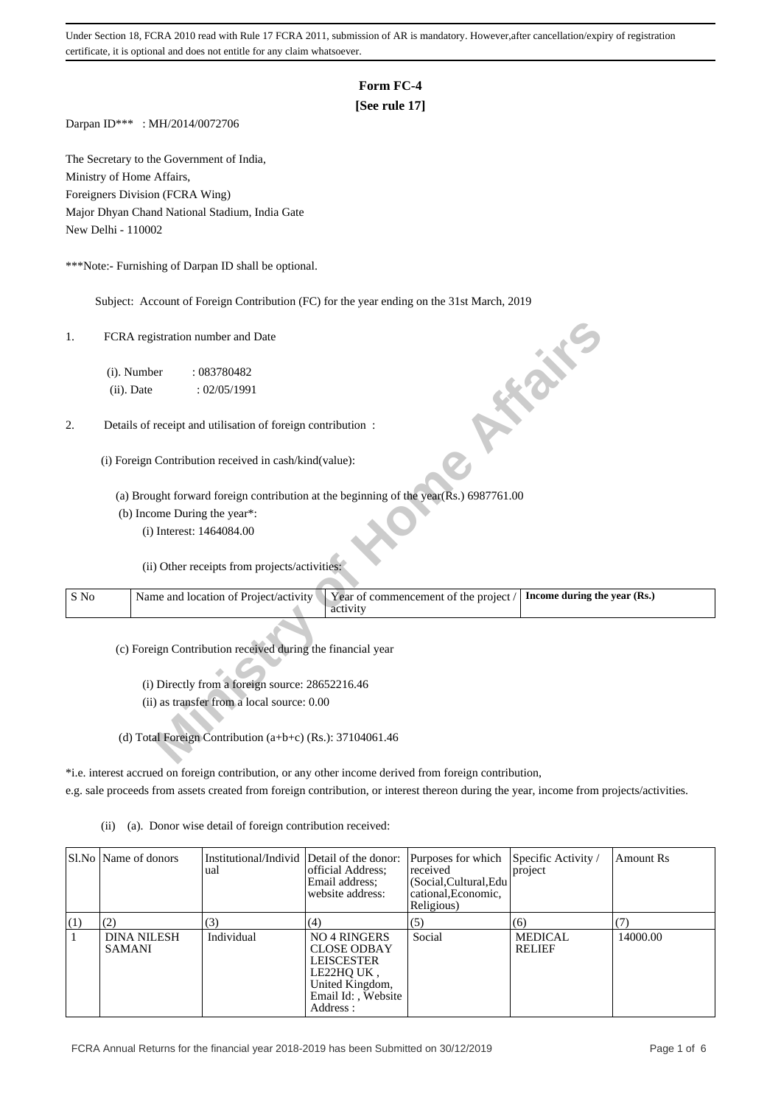# **Form FC-4**

# **[See rule 17]**

Darpan ID\*\*\* : MH/2014/0072706

The Secretary to the Government of India, Ministry of Home Affairs, Foreigners Division (FCRA Wing) Major Dhyan Chand National Stadium, India Gate New Delhi - 110002

\*\*\*Note:- Furnishing of Darpan ID shall be optional.

Subject: Account of Foreign Contribution (FC) for the year ending on the 31st March, 2019

| 1.   | FCRA registration number and Date<br><b>10 % %</b>                                                             |  |
|------|----------------------------------------------------------------------------------------------------------------|--|
|      | (i). Number<br>: 083780482                                                                                     |  |
|      | (ii). Date<br>: 02/05/1991                                                                                     |  |
|      |                                                                                                                |  |
| 2.   | Details of receipt and utilisation of foreign contribution :                                                   |  |
|      |                                                                                                                |  |
|      | (i) Foreign Contribution received in cash/kind(value):                                                         |  |
|      | (a) Brought forward foreign contribution at the beginning of the year(Rs.) 6987761.00                          |  |
|      | (b) Income During the year*:                                                                                   |  |
|      | (i) Interest: 1464084.00                                                                                       |  |
|      |                                                                                                                |  |
|      | (ii) Other receipts from projects/activities:                                                                  |  |
| S No | Name and location of Project/activity<br>Year of commencement of the project /<br>Income during the year (Rs.) |  |
|      | activity                                                                                                       |  |
|      |                                                                                                                |  |
|      | (c) Foreign Contribution received during the financial year                                                    |  |
|      |                                                                                                                |  |
|      | (i) Directly from a foreign source: 28652216.46                                                                |  |
|      | (ii) as transfer from a local source: 0.00                                                                     |  |
|      |                                                                                                                |  |
|      | (d) Total Foreign Contribution (a+b+c) (Rs.): 37104061.46                                                      |  |

\*i.e. interest accrued on foreign contribution, or any other income derived from foreign contribution,

e.g. sale proceeds from assets created from foreign contribution, or interest thereon during the year, income from projects/activities.

(ii) (a). Donor wise detail of foreign contribution received:

|     | SI.No   Name of donors              | Institutional/Individ Detail of the donor:<br>ual | official Address:<br>Email address:<br>website address:                                                                          | Purposes for which<br>received<br>(Social, Cultural, Edu<br>cational, Economic,<br>Religious) | Specific Activity /<br>project  | <b>Amount Rs</b> |
|-----|-------------------------------------|---------------------------------------------------|----------------------------------------------------------------------------------------------------------------------------------|-----------------------------------------------------------------------------------------------|---------------------------------|------------------|
| (1) | (2)                                 | (3)                                               | (4)                                                                                                                              | (5)                                                                                           | (6)                             |                  |
|     | <b>DINA NILESH</b><br><b>SAMANI</b> | Individual                                        | <b>NO 4 RINGERS</b><br><b>CLOSE ODBAY</b><br><b>LEISCESTER</b><br>LE22HOUK,<br>United Kingdom,<br>Email Id:, Website<br>Address: | Social                                                                                        | <b>MEDICAL</b><br><b>RELIEF</b> | 14000.00         |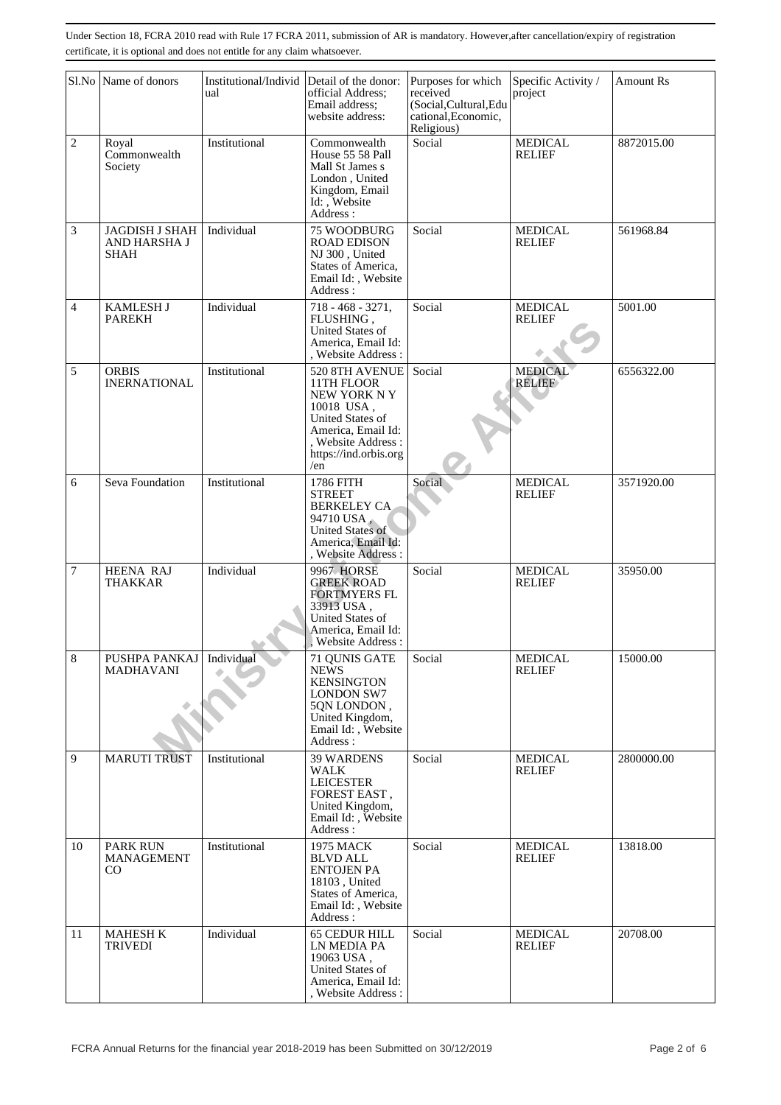|                | Sl.No Name of donors                          | ual           | Institutional/Individ Detail of the donor:<br>official Address;<br>Email address:<br>website address:                                                     | Purposes for which<br>received<br>(Social, Cultural, Edu<br>cational, Economic,<br>Religious) | Specific Activity /<br>project  | <b>Amount Rs</b> |
|----------------|-----------------------------------------------|---------------|-----------------------------------------------------------------------------------------------------------------------------------------------------------|-----------------------------------------------------------------------------------------------|---------------------------------|------------------|
| $\overline{c}$ | Royal<br>Commonwealth<br>Society              | Institutional | Commonwealth<br>House 55 58 Pall<br>Mall St James s<br>London, United<br>Kingdom, Email<br>Id: Website<br>Address:                                        | Social                                                                                        | <b>MEDICAL</b><br><b>RELIEF</b> | 8872015.00       |
| $\mathfrak{Z}$ | JAGDISH J SHAH<br>AND HARSHA J<br><b>SHAH</b> | Individual    | 75 WOODBURG<br><b>ROAD EDISON</b><br>NJ 300, United<br>States of America,<br>Email Id:, Website<br>Address:                                               | Social                                                                                        | <b>MEDICAL</b><br><b>RELIEF</b> | 561968.84        |
| $\overline{4}$ | <b>KAMLESH J</b><br><b>PAREKH</b>             | Individual    | $718 - 468 - 3271,$<br>FLUSHING,<br>United States of<br>America, Email Id:<br>, Website Address:                                                          | Social                                                                                        | <b>MEDICAL</b><br><b>RELIEF</b> | 5001.00          |
| 5              | <b>ORBIS</b><br><b>INERNATIONAL</b>           | Institutional | 520 8TH AVENUE<br>11TH FLOOR<br>NEW YORK NY<br>10018 USA,<br>United States of<br>America, Email Id:<br>, Website Address:<br>https://ind.orbis.org<br>/en | Social                                                                                        | <b>MEDICAL</b><br><b>RELIEF</b> | 6556322.00       |
| 6              | Seva Foundation                               | Institutional | 1786 FITH<br><b>STREET</b><br><b>BERKELEY CA</b><br>94710 USA,<br><b>United States of</b><br>America, Email Id:<br>, Website Address:                     | Social                                                                                        | <b>MEDICAL</b><br><b>RELIEF</b> | 3571920.00       |
| 7              | <b>HEENA RAJ</b><br><b>THAKKAR</b>            | Individual    | <b>9967 HORSE</b><br><b>GREEK ROAD</b><br><b>FORTMYERS FL</b><br>33913 USA,<br>United States of<br>America, Email Id:<br><b>Website Address:</b>          | Social                                                                                        | <b>MEDICAL</b><br><b>RELIEF</b> | 35950.00         |
| 8              | PUSHPA PANKAJ<br><b>MADHAVANI</b>             | Individual    | 71 QUNIS GATE<br><b>NEWS</b><br><b>KENSINGTON</b><br><b>LONDON SW7</b><br>5QN LONDON,<br>United Kingdom,<br>Email Id:, Website<br>Address:                | Social                                                                                        | <b>MEDICAL</b><br><b>RELIEF</b> | 15000.00         |
| 9              | <b>MARUTI TRUST</b>                           | Institutional | <b>39 WARDENS</b><br><b>WALK</b><br><b>LEICESTER</b><br>FOREST EAST,<br>United Kingdom,<br>Email Id:, Website<br>Address:                                 | Social                                                                                        | <b>MEDICAL</b><br><b>RELIEF</b> | 2800000.00       |
| 10             | <b>PARK RUN</b><br>MANAGEMENT<br>CO           | Institutional | 1975 MACK<br><b>BLVD ALL</b><br><b>ENTOJEN PA</b><br>18103, United<br>States of America,<br>Email Id:, Website<br>Address:                                | Social                                                                                        | <b>MEDICAL</b><br><b>RELIEF</b> | 13818.00         |
| 11             | <b>MAHESH K</b><br><b>TRIVEDI</b>             | Individual    | <b>65 CEDUR HILL</b><br>LN MEDIA PA<br>19063 USA,<br>United States of<br>America, Email Id:<br>, Website Address :                                        | Social                                                                                        | <b>MEDICAL</b><br><b>RELIEF</b> | 20708.00         |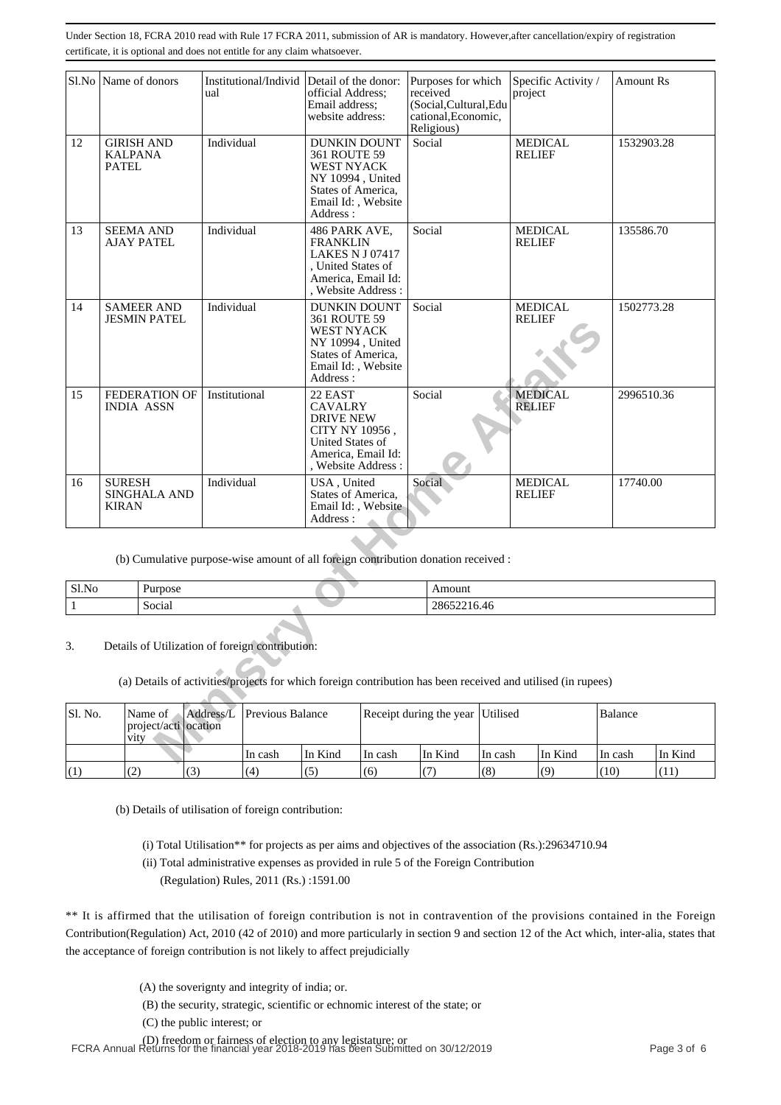|                                                                                                                                                                       | Sl.No Name of donors                                |                                           | ual           |                                                                                    | Institutional/Individ Detail of the donor:<br>official Address;<br>Email address:<br>website address:<br><b>DUNKIN DOUNT</b>         |         | Purposes for which<br>received<br>(Social, Cultural, Edu<br>cational, Economic,<br>Religious) |          | project       | Specific Activity / | <b>Amount Rs</b> |         |
|-----------------------------------------------------------------------------------------------------------------------------------------------------------------------|-----------------------------------------------------|-------------------------------------------|---------------|------------------------------------------------------------------------------------|--------------------------------------------------------------------------------------------------------------------------------------|---------|-----------------------------------------------------------------------------------------------|----------|---------------|---------------------|------------------|---------|
| 12                                                                                                                                                                    | <b>GIRISH AND</b><br><b>KALPANA</b><br><b>PATEL</b> |                                           | Individual    |                                                                                    | 361 ROUTE 59<br><b>WEST NYACK</b><br>NY 10994, United<br>States of America,<br>Email Id:, Website<br>Address:                        |         | Social                                                                                        |          | <b>RELIEF</b> | <b>MEDICAL</b>      | 1532903.28       |         |
| 13                                                                                                                                                                    | <b>SEEMA AND</b>                                    | AJAY PATEL                                | Individual    |                                                                                    | 486 PARK AVE,<br><b>FRANKLIN</b><br><b>LAKES N J 07417</b><br>, United States of<br>America, Email Id:<br>, Website Address :        |         | Social                                                                                        |          | <b>RELIEF</b> | <b>MEDICAL</b>      | 135586.70        |         |
| 14                                                                                                                                                                    |                                                     | <b>SAMEER AND</b><br><b>JESMIN PATEL</b>  | Individual    |                                                                                    | <b>DUNKIN DOUNT</b><br>361 ROUTE 59<br><b>WEST NYACK</b><br>NY 10994, United<br>States of America,<br>Email Id:, Website<br>Address: |         | Social                                                                                        |          | <b>RELIEF</b> | <b>MEDICAL</b>      | 1502773.28       |         |
| 15                                                                                                                                                                    |                                                     | <b>FEDERATION OF</b><br><b>INDIA ASSN</b> | Institutional |                                                                                    | 22 EAST<br><b>CAVALRY</b><br><b>DRIVE NEW</b><br>CITY NY 10956.<br>United States of<br>America, Email Id:<br>, Website Address :     |         | Social                                                                                        |          | <b>RELIEF</b> | <b>MEDICAL</b>      | 2996510.36       |         |
| 16                                                                                                                                                                    | <b>SURESH</b><br><b>KIRAN</b>                       | <b>SINGHALA AND</b>                       | Individual    |                                                                                    | USA, United<br>States of America,<br>Email Id:, Website<br>Address :                                                                 |         | Social                                                                                        |          | <b>RELIEF</b> | <b>MEDICAL</b>      | 17740.00         |         |
|                                                                                                                                                                       |                                                     |                                           |               | (b) Cumulative purpose-wise amount of all foreign contribution donation received : |                                                                                                                                      |         |                                                                                               |          |               |                     |                  |         |
| Sl.No                                                                                                                                                                 |                                                     | Purpose                                   |               |                                                                                    |                                                                                                                                      |         | Amount                                                                                        |          |               |                     |                  |         |
| $\mathbf{1}$                                                                                                                                                          |                                                     | Social                                    |               |                                                                                    |                                                                                                                                      |         | 28652216.46                                                                                   |          |               |                     |                  |         |
| Details of Utilization of foreign contribution:<br>3.<br>(a) Details of activities/projects for which foreign contribution has been received and utilised (in rupees) |                                                     |                                           |               |                                                                                    |                                                                                                                                      |         |                                                                                               |          |               |                     |                  |         |
| Sl. No.                                                                                                                                                               | vity                                                | Name of<br>project/acti ocation           | Address/L     | Previous Balance                                                                   |                                                                                                                                      |         | Receipt during the year                                                                       | Utilised |               |                     | Balance          |         |
|                                                                                                                                                                       |                                                     |                                           |               | In cash                                                                            | In Kind                                                                                                                              | In cash | In Kind                                                                                       | In cash  |               | In Kind             | In cash          | In Kind |

| Sl.No | $\sqrt{ }$<br>Purpose | Amount                |
|-------|-----------------------|-----------------------|
|       | $\epsilon$<br>Social  | $\cap$<br>28032210.40 |

| SI. No. | Name of  <br>project/acti ocation<br>vity. |     |          | Address/L Previous Balance |         | Receipt during the year Utilised |         |         |         | Balance |  |
|---------|--------------------------------------------|-----|----------|----------------------------|---------|----------------------------------|---------|---------|---------|---------|--|
|         |                                            |     | ∣In cash | In Kind                    | In cash | In Kind                          | In cash | In Kind | In cash | In Kind |  |
| (1)     | (2)                                        | (3) | (4)      | (5)                        | (6)     |                                  | (8)     | (9)     | (10)    | (11)    |  |

(b) Details of utilisation of foreign contribution:

(i) Total Utilisation\*\* for projects as per aims and objectives of the association (Rs.):29634710.94

 (ii) Total administrative expenses as provided in rule 5 of the Foreign Contribution (Regulation) Rules, 2011 (Rs.) :1591.00

\*\* It is affirmed that the utilisation of foreign contribution is not in contravention of the provisions contained in the Foreign Contribution(Regulation) Act, 2010 (42 of 2010) and more particularly in section 9 and section 12 of the Act which, inter-alia, states that the acceptance of foreign contribution is not likely to affect prejudicially

- (A) the soverignty and integrity of india; or.
- (B) the security, strategic, scientific or echnomic interest of the state; or
- (C) the public interest; or

(D) freedom or fairness of election to any legistature; or FCRA Annual Returns for the financial year 2018-2019 has been Submitted on 30/12/2019 Page 3 of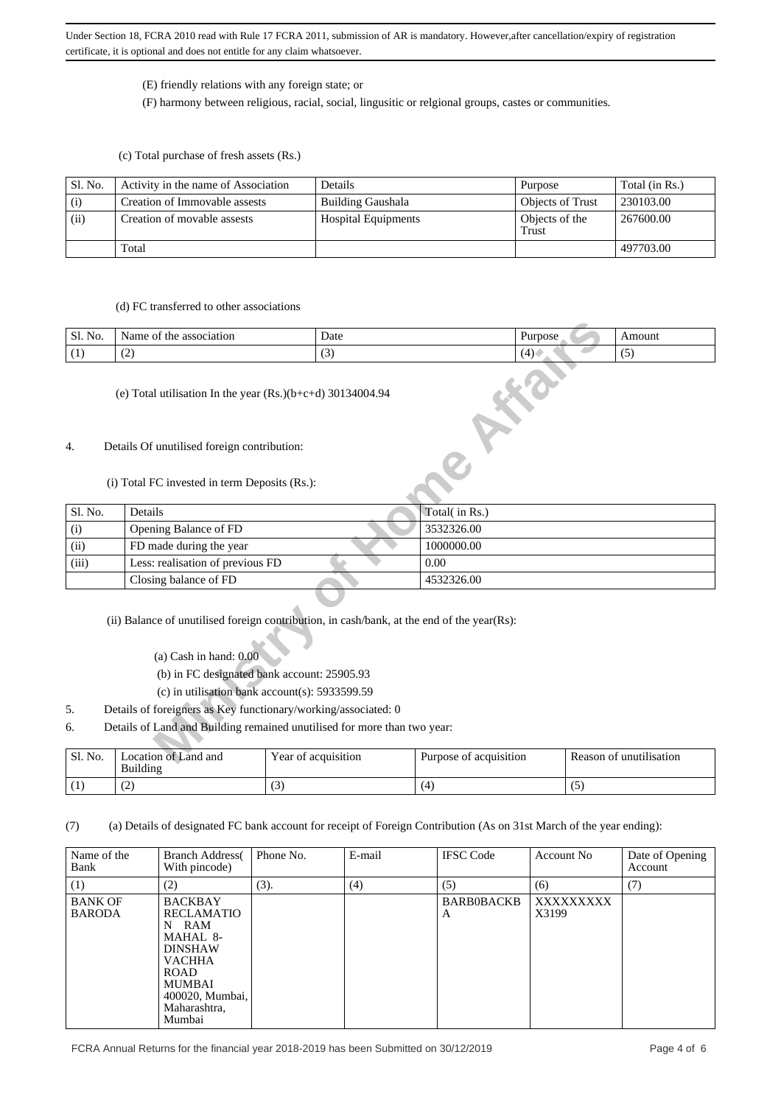#### (E) friendly relations with any foreign state; or

(F) harmony between religious, racial, social, lingusitic or relgional groups, castes or communities.

(c) Total purchase of fresh assets (Rs.)

| Sl. No. | Activity in the name of Association | Details                    | Purpose                 | Total (in Rs.) |
|---------|-------------------------------------|----------------------------|-------------------------|----------------|
| (i)     | Creation of Immovable assests       | <b>Building Gaushala</b>   | <b>Objects of Trust</b> | 230103.00      |
| (ii)    | Creation of movable assests         | <b>Hospital Equipments</b> | Objects of the<br>Trust | 267600.00      |
|         | Total                               |                            |                         | 497703.00      |

### (d) FC transferred to other associations

| Sl. No. | association<br>Name<br>the<br>: ot | Date                  | 1111100000<br>uldose<br>$\overline{\phantom{a}}$ | Amount   |
|---------|------------------------------------|-----------------------|--------------------------------------------------|----------|
| (1)     | $\sqrt{2}$<br>ॱ∸                   | $\tilde{\phantom{a}}$ |                                                  | - -<br>ີ |

#### (e) Total utilisation In the year (Rs.)(b+c+d) 30134004.94

#### 4. Details Of unutilised foreign contribution:

#### (i) Total FC invested in term Deposits (Rs.):

| Sl. No. | Name of the association                                                                                                                                                                                                    |                     |                        |         |                         |  |  |  |  |
|---------|----------------------------------------------------------------------------------------------------------------------------------------------------------------------------------------------------------------------------|---------------------|------------------------|---------|-------------------------|--|--|--|--|
|         |                                                                                                                                                                                                                            | Date                |                        | Purpose | Amount                  |  |  |  |  |
| (1)     | (2)                                                                                                                                                                                                                        | (3)                 |                        | (4)     | (5)                     |  |  |  |  |
|         | (e) Total utilisation In the year $(Rs.)(b+c+d)$ 30134004.94                                                                                                                                                               |                     |                        |         |                         |  |  |  |  |
| 4.      | Details Of unutilised foreign contribution:                                                                                                                                                                                |                     |                        |         |                         |  |  |  |  |
|         | (i) Total FC invested in term Deposits (Rs.):                                                                                                                                                                              |                     |                        |         |                         |  |  |  |  |
| Sl. No. | Details                                                                                                                                                                                                                    |                     | Total( in Rs.)         |         |                         |  |  |  |  |
| (i)     | Opening Balance of FD                                                                                                                                                                                                      |                     | 3532326.00             |         |                         |  |  |  |  |
| (ii)    | FD made during the year                                                                                                                                                                                                    |                     | 1000000.00             |         |                         |  |  |  |  |
| (iii)   | Less: realisation of previous FD                                                                                                                                                                                           |                     | 0.00                   |         |                         |  |  |  |  |
|         | Closing balance of FD                                                                                                                                                                                                      |                     | 4532326.00             |         |                         |  |  |  |  |
|         | (ii) Balance of unutilised foreign contribution, in cash/bank, at the end of the year(Rs):<br>(a) Cash in hand: $0.00$<br>(b) in FC designated bank account: 25905.93<br>(c) in utilisation bank $account(s)$ : 5933599.59 |                     |                        |         |                         |  |  |  |  |
| 5.      | Details of foreigners as Key functionary/working/associated: 0                                                                                                                                                             |                     |                        |         |                         |  |  |  |  |
| 6.      | Details of Land and Building remained unutilised for more than two year:                                                                                                                                                   |                     |                        |         |                         |  |  |  |  |
| Sl. No. | Location of Land and                                                                                                                                                                                                       | Year of acquisition | Purpose of acquisition |         | Reason of unutilisation |  |  |  |  |

| Sl. No. | ocation of Land and<br>Building | Year of acquisition | .<br>Purpose of acquisition | Reason of unutilisation |
|---------|---------------------------------|---------------------|-----------------------------|-------------------------|
|         | ے ،                             | ιU.                 |                             | $\sim$                  |

(7) (a) Details of designated FC bank account for receipt of Foreign Contribution (As on 31st March of the year ending):

| Name of the<br>Bank             | <b>Branch Address</b><br>With pincode)                                                                                                                            | Phone No. | E-mail | <b>IFSC Code</b>       | Account No         | Date of Opening<br>Account |
|---------------------------------|-------------------------------------------------------------------------------------------------------------------------------------------------------------------|-----------|--------|------------------------|--------------------|----------------------------|
| (1)                             | (2)                                                                                                                                                               | (3).      | (4)    | (5)                    | (6)                | (7)                        |
| <b>BANK OF</b><br><b>BARODA</b> | <b>BACKBAY</b><br><b>RECLAMATIO</b><br>N RAM<br>MAHAL 8-<br><b>DINSHAW</b><br><b>VACHHA</b><br><b>ROAD</b><br>MUMBAI<br>400020, Mumbai,<br>Maharashtra,<br>Mumbai |           |        | <b>BARB0BACKB</b><br>A | XXXXXXXXX<br>X3199 |                            |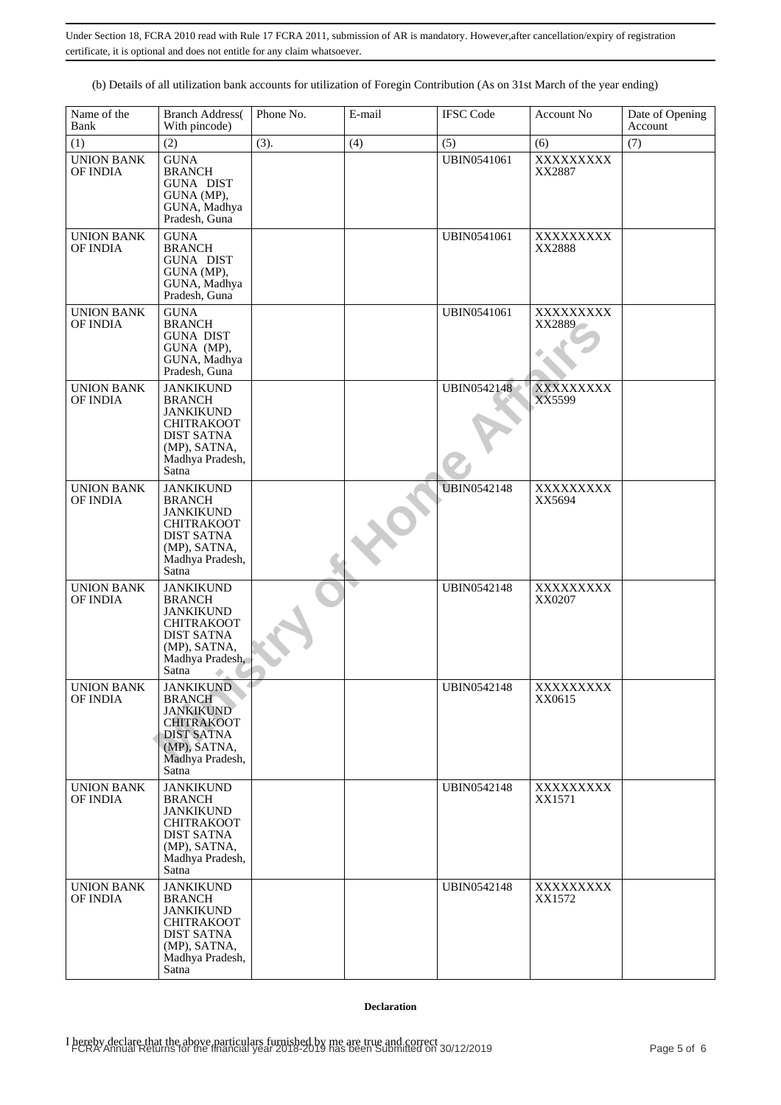(b) Details of all utilization bank accounts for utilization of Foregin Contribution (As on 31st March of the year ending)

| Name of the<br>Bank                  | <b>Branch Address</b> (<br>With pincode)                                                                                                                 | Phone No. | E-mail | <b>IFSC Code</b>   | Account No          | Date of Opening<br>Account |
|--------------------------------------|----------------------------------------------------------------------------------------------------------------------------------------------------------|-----------|--------|--------------------|---------------------|----------------------------|
| (1)                                  | (2)                                                                                                                                                      | (3).      | (4)    | (5)                | (6)                 | (7)                        |
| <b>UNION BANK</b><br>OF INDIA        | <b>GUNA</b><br><b>BRANCH</b><br><b>GUNA DIST</b><br>GUNA (MP),<br>GUNA, Madhya<br>Pradesh, Guna                                                          |           |        | <b>UBIN0541061</b> | XXXXXXXXX<br>XX2887 |                            |
| <b>UNION BANK</b><br>OF INDIA        | <b>GUNA</b><br><b>BRANCH</b><br><b>GUNA DIST</b><br>GUNA (MP),<br>GUNA, Madhya<br>Pradesh, Guna                                                          |           |        | <b>UBIN0541061</b> | XXXXXXXXX<br>XX2888 |                            |
| <b>UNION BANK</b><br>OF INDIA        | <b>GUNA</b><br><b>BRANCH</b><br><b>GUNA DIST</b><br>GUNA (MP),<br>GUNA, Madhya<br>Pradesh, Guna                                                          |           |        | <b>UBIN0541061</b> | XXXXXXXXX<br>XX2889 |                            |
| <b>UNION BANK</b><br>OF INDIA        | <b>JANKIKUND</b><br><b>BRANCH</b><br><b>JANKIKUND</b><br><b>CHITRAKOOT</b><br><b>DIST SATNA</b><br>(MP), SATNA,<br>Madhya Pradesh,<br>Satna <sup>1</sup> |           |        | UBIN0542148        | XXXXXXXXX<br>XX5599 |                            |
| <b>UNION BANK</b><br><b>OF INDIA</b> | <b>JANKIKUND</b><br><b>BRANCH</b><br><b>JANKIKUND</b><br><b>CHITRAKOOT</b><br><b>DIST SATNA</b><br>(MP), SATNA,<br>Madhya Pradesh,<br>Satna              |           |        | <b>UBIN0542148</b> | XXXXXXXXX<br>XX5694 |                            |
| <b>UNION BANK</b><br>OF INDIA        | <b>JANKIKUND</b><br><b>BRANCH</b><br><b>JANKIKUND</b><br><b>CHITRAKOOT</b><br><b>DIST SATNA</b><br>(MP), SATNA,<br>Madhya Pradesh,<br>Satna              |           |        | <b>UBIN0542148</b> | XXXXXXXXX<br>XX0207 |                            |
| <b>UNION BANK</b><br>OF INDIA        | <b>JANKIKUND</b><br><b>BRANCH</b><br><b>JANKIKUND</b><br><b>CHITRAKOOT</b><br><b>DIST SATNA</b><br>(MP), SATNA,<br>Madhya Pradesh,<br>Satna              |           |        | <b>UBIN0542148</b> | XXXXXXXX<br>XX0615  |                            |
| <b>UNION BANK</b><br>OF INDIA        | <b>JANKIKUND</b><br><b>BRANCH</b><br><b>JANKIKUND</b><br><b>CHITRAKOOT</b><br><b>DIST SATNA</b><br>(MP), SATNA,<br>Madhya Pradesh,<br>Satna              |           |        | <b>UBIN0542148</b> | XXXXXXXXX<br>XX1571 |                            |
| <b>UNION BANK</b><br>OF INDIA        | <b>JANKIKUND</b><br><b>BRANCH</b><br><b>JANKIKUND</b><br><b>CHITRAKOOT</b><br><b>DIST SATNA</b><br>(MP), SATNA,<br>Madhya Pradesh,<br>Satna              |           |        | <b>UBIN0542148</b> | XXXXXXXXX<br>XX1572 |                            |

### **Declaration**